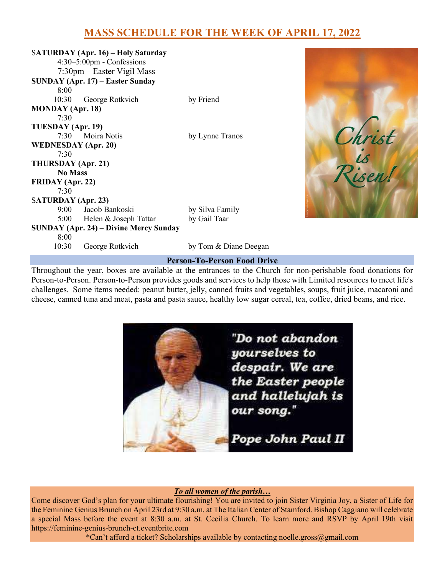# MASS SCHEDULE FOR THE WEEK OF APRIL 17, 2022

|                                               | <b>SATURDAY</b> (Apr. 16) – Holy Saturday |                       |  |  |
|-----------------------------------------------|-------------------------------------------|-----------------------|--|--|
| $4:30-5:00$ pm - Confessions                  |                                           |                       |  |  |
|                                               | 7:30pm - Easter Vigil Mass                |                       |  |  |
|                                               | <b>SUNDAY (Apr. 17) – Easter Sunday</b>   |                       |  |  |
| 8:00                                          |                                           |                       |  |  |
|                                               | 10:30 George Rotkvich                     | by Friend             |  |  |
| MONDAY (Apr. 18)                              |                                           |                       |  |  |
| 7:30                                          |                                           |                       |  |  |
| TUESDAY (Apr. 19)                             |                                           |                       |  |  |
|                                               | 7:30 Moira Notis                          | by Lynne Tranos       |  |  |
| <b>WEDNESDAY</b> (Apr. 20)                    |                                           |                       |  |  |
| 7:30                                          |                                           |                       |  |  |
| THURSDAY (Apr. 21)                            |                                           |                       |  |  |
| <b>No Mass</b>                                |                                           |                       |  |  |
| FRIDAY (Apr. 22)                              |                                           |                       |  |  |
| 7:30                                          |                                           |                       |  |  |
| <b>SATURDAY</b> (Apr. 23)                     |                                           |                       |  |  |
|                                               | 9:00 Jacob Bankoski                       | by Silva Family       |  |  |
|                                               | 5:00 Helen & Joseph Tattar                | by Gail Taar          |  |  |
| <b>SUNDAY (Apr. 24) – Divine Mercy Sunday</b> |                                           |                       |  |  |
| 8:00                                          |                                           |                       |  |  |
| 10:30                                         | George Rotkvich                           | by Tom & Diane Deegan |  |  |



#### Person-To-Person Food Drive

Throughout the year, boxes are available at the entrances to the Church for non-perishable food donations for Person-to-Person. Person-to-Person provides goods and services to help those with Limited resources to meet life's challenges. Some items needed: peanut butter, jelly, canned fruits and vegetables, soups, fruit juice, macaroni and cheese, canned tuna and meat, pasta and pasta sauce, healthy low sugar cereal, tea, coffee, dried beans, and rice.



### To all women of the parish…

Come discover God's plan for your ultimate flourishing! You are invited to join Sister Virginia Joy, a Sister of Life for the Feminine Genius Brunch on April 23rd at 9:30 a.m. at The Italian Center of Stamford. Bishop Caggiano will celebrate a special Mass before the event at 8:30 a.m. at St. Cecilia Church. To learn more and RSVP by April 19th visit https://feminine-genius-brunch-ct.eventbrite.com

\*Can't afford a ticket? Scholarships available by contacting noelle.gross@gmail.com